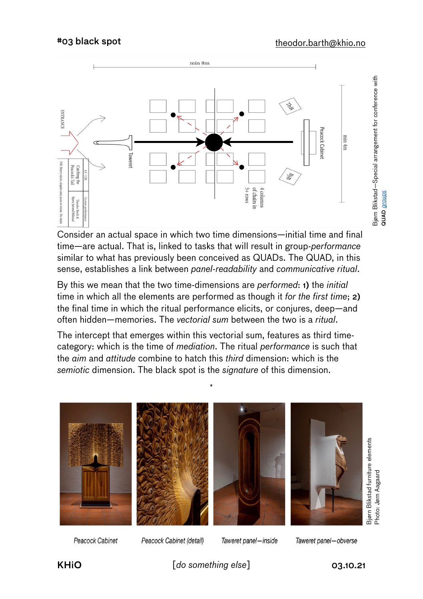QUAD *[groups](https://en.wikipedia.org/wiki/Wilfred_Bion#Group_dynamics%E2%80%94the_%22basic_assumptions%22)*

Bijørn Blikstad – Special arrangement for conference with<br>aUAD groups



Consider an actual space in which two time dimensions—initial time and final time—are actual. That is, linked to tasks that will result in group-*performance* similar to what has previously been conceived as QUADs. The QUAD, in this sense, establishes a link between *panel-readability* and *communicative ritual*.

By this we mean that the two time-dimensions are *performed*: 1) the *initial* time in which all the elements are performed as though it *for the first time*; 2) the final time in which the ritual performance elicits, or conjures, deep—and often hidden—memories. The *vectorial sum* between the two is a *ritual*.

The intercept that emerges within this vectorial sum, features as third timecategory: which is the time of *mediation*. The ritual *performance* is such that the *aim* and *attitude* combine to hatch this *third* dimension: which is the *semiotic* dimension. The black spot is the *signature* of this dimension.



Peacock Cabinet

Peacock Cabinet (detail)

Taweret panel-inside

KHiO  $[do something else]$  03.10.21